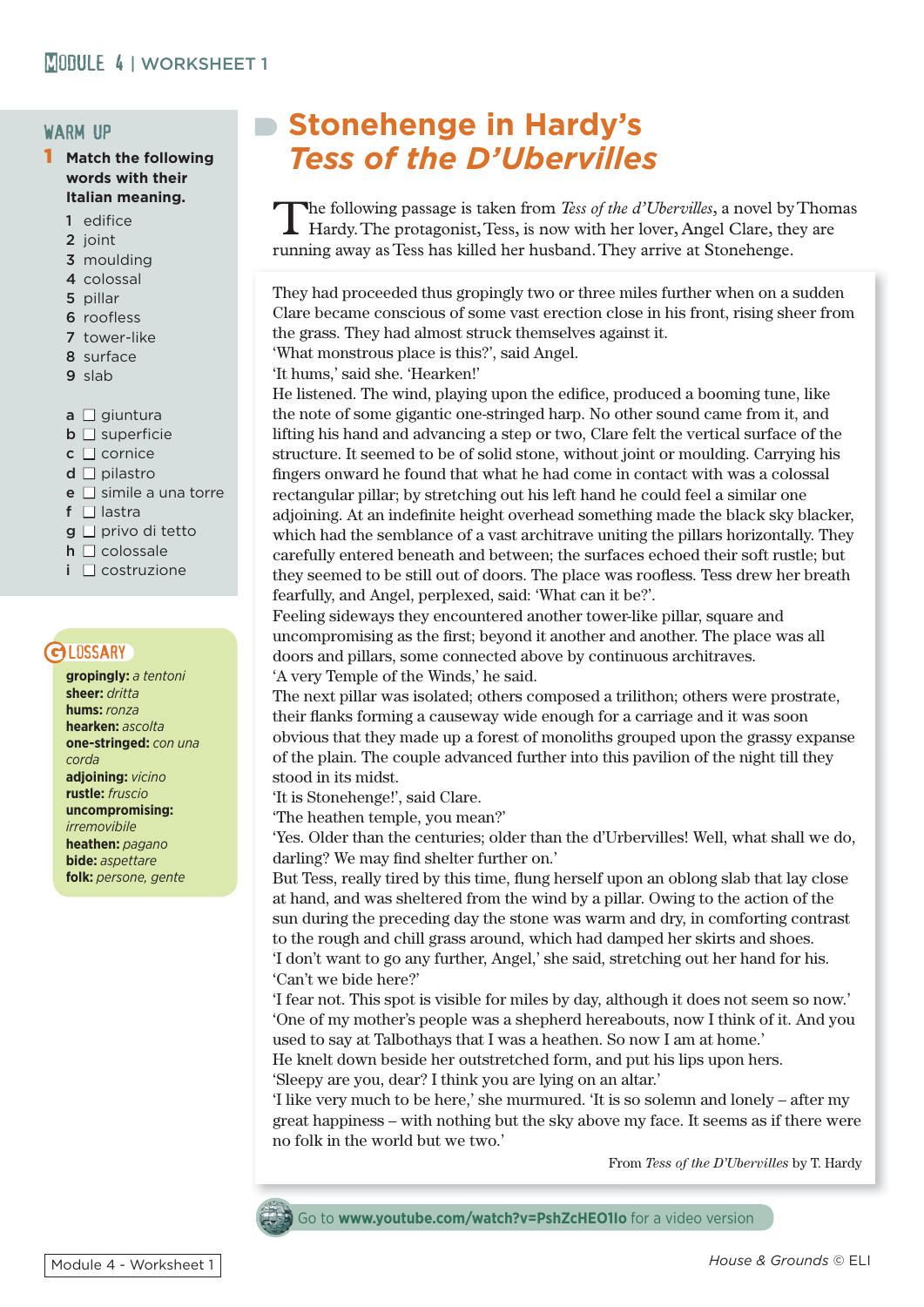## warm up

- **Match the following words with their Italian meaning.**
	- 1 edifice
	- 2 joint
	- 3 moulding
	- 4 colossal
	- 5 pillar
	- 6 roofless
	- 7 tower-like
	- 8 surface
	- 9 slab
	- $a \Box$  giuntura
	- $\Box$  **superficie**
	- $c \sqcap$  cornice
	- $d \square$  pilastro
	- $e \Box$  simile a una torre
	- f  $\Box$  lastra
	- $g \Box$  privo di tetto
	- $h \Box$  colossale
	- $i \nabla$  costruzione

# **GLOSSARY**

**gropingly:** *a tentoni* **sheer:** *dritta* **hums:** *ronza* **hearken:** *ascolta* **one-stringed:** *con una corda* **adjoining:** *vicino* **rustle:** *fruscio* **uncompromising:** *irremovibile* **heathen:** *pagano* **bide:** *aspettare* **folk:** *persone, gente*

# **Stonehenge in Hardy's**  *Tess of the D'Ubervilles*

The following passage is taken from *Tess of the d'Ubervilles*, a novel by Thomas Hardy. The protagonist, Tess, is now with her lover, Angel Clare, they are running away as Tess has killed her husband. They arrive at Stonehenge.

They had proceeded thus gropingly two or three miles further when on a sudden Clare became conscious of some vast erection close in his front, rising sheer from the grass. They had almost struck themselves against it.

'What monstrous place is this?', said Angel.

'It hums,' said she. 'Hearken!'

He listened. The wind, playing upon the edifice, produced a booming tune, like the note of some gigantic one-stringed harp. No other sound came from it, and lifting his hand and advancing a step or two, Clare felt the vertical surface of the structure. It seemed to be of solid stone, without joint or moulding. Carrying his fingers onward he found that what he had come in contact with was a colossal rectangular pillar; by stretching out his left hand he could feel a similar one adjoining. At an indefinite height overhead something made the black sky blacker, which had the semblance of a vast architrave uniting the pillars horizontally. They carefully entered beneath and between; the surfaces echoed their soft rustle; but they seemed to be still out of doors. The place was roofless. Tess drew her breath fearfully, and Angel, perplexed, said: 'What can it be?'.

Feeling sideways they encountered another tower-like pillar, square and uncompromising as the first; beyond it another and another. The place was all doors and pillars, some connected above by continuous architraves. 'A very Temple of the Winds,' he said.

The next pillar was isolated; others composed a trilithon; others were prostrate, their flanks forming a causeway wide enough for a carriage and it was soon obvious that they made up a forest of monoliths grouped upon the grassy expanse of the plain. The couple advanced further into this pavilion of the night till they stood in its midst.

'It is Stonehenge!', said Clare.

'The heathen temple, you mean?'

'Yes. Older than the centuries; older than the d'Urbervilles! Well, what shall we do, darling? We may find shelter further on.'

But Tess, really tired by this time, flung herself upon an oblong slab that lay close at hand, and was sheltered from the wind by a pillar. Owing to the action of the sun during the preceding day the stone was warm and dry, in comforting contrast to the rough and chill grass around, which had damped her skirts and shoes. 'I don't want to go any further, Angel,' she said, stretching out her hand for his. 'Can't we bide here?'

'I fear not. This spot is visible for miles by day, although it does not seem so now.' 'One of my mother's people was a shepherd hereabouts, now I think of it. And you used to say at Talbothays that I was a heathen. So now I am at home.'

He knelt down beside her outstretched form, and put his lips upon hers. 'Sleepy are you, dear? I think you are lying on an altar.'

'I like very much to be here,' she murmured. 'It is so solemn and lonely – after my great happiness – with nothing but the sky above my face. It seems as if there were no folk in the world but we two.'

From *Tess of the D'Ubervilles* by T. Hardy